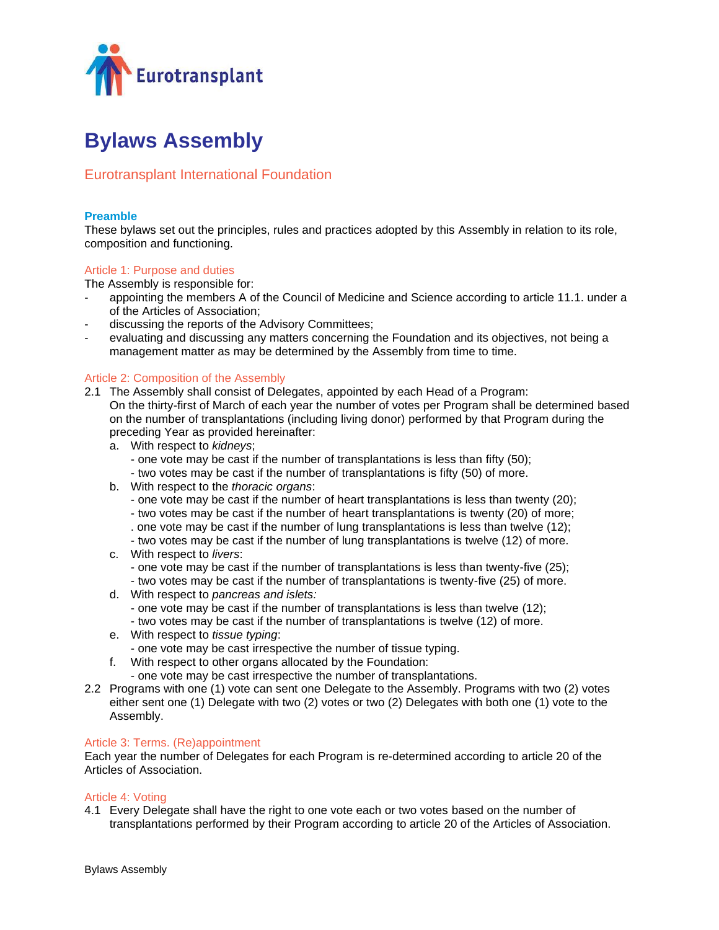

# **Bylaws Assembly**

# Eurotransplant International Foundation

# **Preamble**

These bylaws set out the principles, rules and practices adopted by this Assembly in relation to its role, composition and functioning.

# Article 1: Purpose and duties

The Assembly is responsible for:

- appointing the members A of the Council of Medicine and Science according to article 11.1. under a of the Articles of Association;
- discussing the reports of the Advisory Committees;
- evaluating and discussing any matters concerning the Foundation and its objectives, not being a management matter as may be determined by the Assembly from time to time.

# Article 2: Composition of the Assembly

- 2.1 The Assembly shall consist of Delegates, appointed by each Head of a Program: On the thirty-first of March of each year the number of votes per Program shall be determined based on the number of transplantations (including living donor) performed by that Program during the preceding Year as provided hereinafter:
	- a. With respect to *kidneys*;
		- one vote may be cast if the number of transplantations is less than fifty (50);
		- two votes may be cast if the number of transplantations is fifty (50) of more.
	- b. With respect to the *thoracic organs*:
		- one vote may be cast if the number of heart transplantations is less than twenty (20);
		- two votes may be cast if the number of heart transplantations is twenty (20) of more;
		- . one vote may be cast if the number of lung transplantations is less than twelve (12);
		- two votes may be cast if the number of lung transplantations is twelve (12) of more.
	- c. With respect to *livers*:
		- one vote may be cast if the number of transplantations is less than twenty-five (25); - two votes may be cast if the number of transplantations is twenty-five (25) of more.
	- d. With respect to *pancreas and islets:*
		- one vote may be cast if the number of transplantations is less than twelve (12); - two votes may be cast if the number of transplantations is twelve (12) of more.
	- e. With respect to *tissue typing*:
		- one vote may be cast irrespective the number of tissue typing.
	- f. With respect to other organs allocated by the Foundation:
		- one vote may be cast irrespective the number of transplantations.
- 2.2 Programs with one (1) vote can sent one Delegate to the Assembly. Programs with two (2) votes either sent one (1) Delegate with two (2) votes or two (2) Delegates with both one (1) vote to the Assembly.

# Article 3: Terms. (Re)appointment

Each year the number of Delegates for each Program is re-determined according to article 20 of the Articles of Association.

# Article 4: Voting

4.1 Every Delegate shall have the right to one vote each or two votes based on the number of transplantations performed by their Program according to article 20 of the Articles of Association.